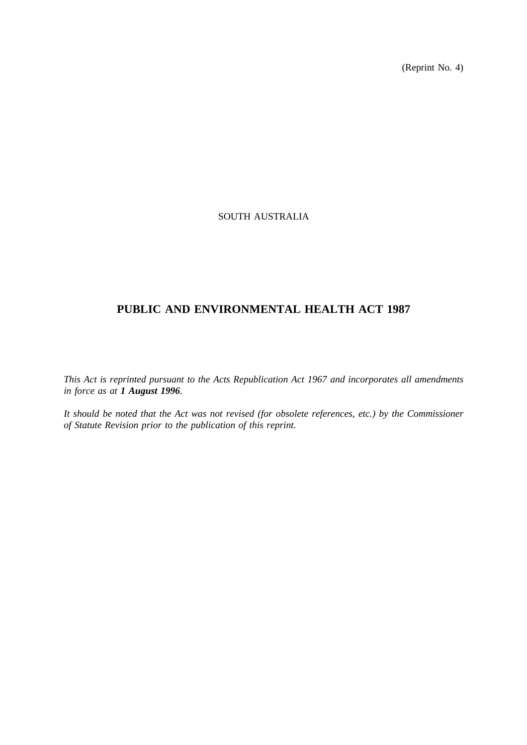(Reprint No. 4)

## SOUTH AUSTRALIA

# **PUBLIC AND ENVIRONMENTAL HEALTH ACT 1987**

*This Act is reprinted pursuant to the Acts Republication Act 1967 and incorporates all amendments in force as at 1 August 1996.*

*It should be noted that the Act was not revised (for obsolete references, etc.) by the Commissioner of Statute Revision prior to the publication of this reprint.*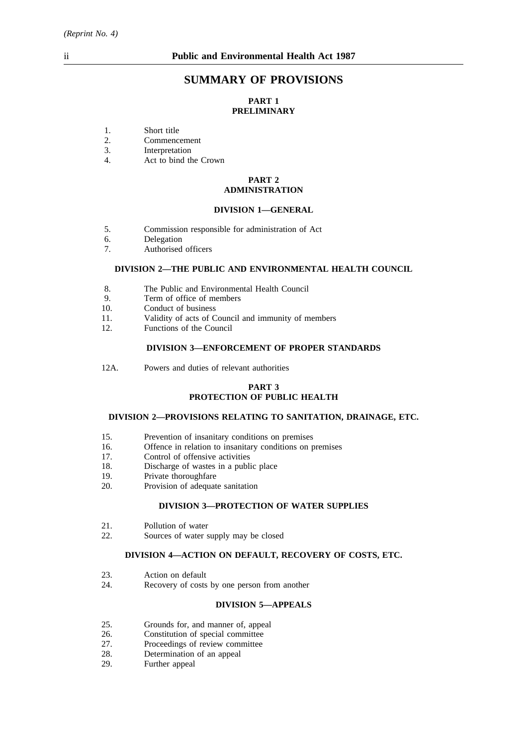## **SUMMARY OF PROVISIONS**

## **PART 1 PRELIMINARY**

- 1. Short title<br>2. Commence
- 2. Commencement<br>3. Interpretation
- 3. Interpretation<br>4 Act to bind the
- Act to bind the Crown

## **PART 2 ADMINISTRATION**

## **DIVISION 1—GENERAL**

- 5. Commission responsible for administration of Act
- 6. Delegation
- 7. Authorised officers

### **DIVISION 2—THE PUBLIC AND ENVIRONMENTAL HEALTH COUNCIL**

- 8. The Public and Environmental Health Council
- 9. Term of office of members<br>10. Conduct of business
- Conduct of business
- 11. Validity of acts of Council and immunity of members 12. Functions of the Council
- Functions of the Council

## **DIVISION 3—ENFORCEMENT OF PROPER STANDARDS**

12A. Powers and duties of relevant authorities

### **PART 3 PROTECTION OF PUBLIC HEALTH**

#### **DIVISION 2—PROVISIONS RELATING TO SANITATION, DRAINAGE, ETC.**

- 15. Prevention of insanitary conditions on premises
- 16. Offence in relation to insanitary conditions on premises
- 17. Control of offensive activities
- 18. Discharge of wastes in a public place
- 19. Private thoroughfare
- 20. Provision of adequate sanitation

### **DIVISION 3—PROTECTION OF WATER SUPPLIES**

- 21. Pollution of water
- 22. Sources of water supply may be closed

### **DIVISION 4—ACTION ON DEFAULT, RECOVERY OF COSTS, ETC.**

- 23. Action on default<br>24. Recovery of costs
- Recovery of costs by one person from another

## **DIVISION 5—APPEALS**

- 25. Grounds for, and manner of, appeal 26. Constitution of special committee
- 26. Constitution of special committee<br>27. Proceedings of review committee
- 27. Proceedings of review committee<br>28. Determination of an appeal
- 28. Determination of an appeal<br>29. Further appeal
- Further appeal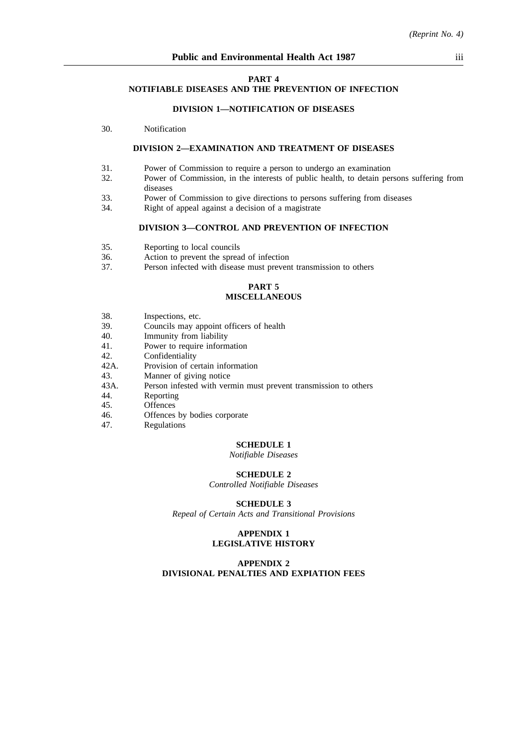#### **PART 4**

#### **NOTIFIABLE DISEASES AND THE PREVENTION OF INFECTION**

#### **DIVISION 1—NOTIFICATION OF DISEASES**

30. Notification

#### **DIVISION 2—EXAMINATION AND TREATMENT OF DISEASES**

- 31. Power of Commission to require a person to undergo an examination
- 32. Power of Commission, in the interests of public health, to detain persons suffering from diseases
- 33. Power of Commission to give directions to persons suffering from diseases
- 34. Right of appeal against a decision of a magistrate

#### **DIVISION 3—CONTROL AND PREVENTION OF INFECTION**

- 35. Reporting to local councils<br>36. Action to prevent the sprea
- 36. Action to prevent the spread of infection<br>37. Person infected with disease must preven
- Person infected with disease must prevent transmission to others

## **PART 5 MISCELLANEOUS**

- 38. Inspections, etc.<br>39 Councils may an
- 39. Councils may appoint officers of health<br>40 Immunity from liability
- 40. Immunity from liability<br>41 Power to require inform
- Power to require information
- 42. Confidentiality
- 42A. Provision of certain information
- 43. Manner of giving notice
- 43A. Person infested with vermin must prevent transmission to others 44.
- 44. Reporting<br>45. Offences
- 45. Offences
- 46. Offences by bodies corporate 47.
- **Regulations**

#### **SCHEDULE 1**

*Notifiable Diseases*

#### **SCHEDULE 2**

*Controlled Notifiable Diseases*

**SCHEDULE 3**

*Repeal of Certain Acts and Transitional Provisions*

#### **APPENDIX 1 LEGISLATIVE HISTORY**

#### **APPENDIX 2 DIVISIONAL PENALTIES AND EXPIATION FEES**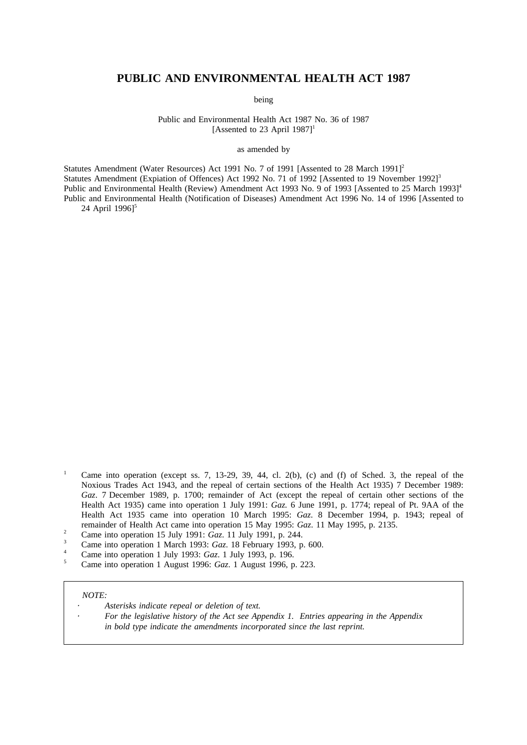## **PUBLIC AND ENVIRONMENTAL HEALTH ACT 1987**

being

Public and Environmental Health Act 1987 No. 36 of 1987 [Assented to 23 April  $1987$ ]<sup>1</sup>

as amended by

Statutes Amendment (Water Resources) Act 1991 No. 7 of 1991 [Assented to 28 March 1991]<sup>2</sup> Statutes Amendment (Expiation of Offences) Act 1992 No. 71 of 1992 [Assented to 19 November 1992]<sup>3</sup> Public and Environmental Health (Review) Amendment Act 1993 No. 9 of 1993 [Assented to 25 March 1993]<sup>4</sup> Public and Environmental Health (Notification of Diseases) Amendment Act 1996 No. 14 of 1996 [Assented to

24 April 1996]<sup>5</sup>

- <sup>1</sup> Came into operation (except ss. 7, 13-29, 39, 44, cl. 2(b), (c) and (f) of Sched. 3, the repeal of the Noxious Trades Act 1943, and the repeal of certain sections of the Health Act 1935) 7 December 1989: Gaz. 7 December 1989, p. 1700; remainder of Act (except the repeal of certain other sections of the Health Act 1935) came into operation 1 July 1991: *Gaz.* 6 June 1991, p. 1774; repeal of Pt. 9AA of the Health Act 1935 came into operation 10 March 1995: *Gaz*. 8 December 1994, p. 1943; repeal of remainder of Health Act came into operation 15 May 1995: *Gaz*. 11 May 1995, p. 2135.
- <sup>2</sup> Came into operation 15 July 1991:  $\overline{Gaz}$ . 11 July 1991, p. 244.
- <sup>3</sup> Came into operation 1 March 1993: *Gaz*. 18 February 1993, p. 600.
- <sup>4</sup> Came into operation 1 July 1993: *Gaz*. 1 July 1993, p. 196.
- <sup>5</sup> Came into operation 1 August 1996: *Gaz*. 1 August 1996, p. 223.

#### *NOTE:*

- *Asterisks indicate repeal or deletion of text.*
	- *For the legislative history of the Act see Appendix 1. Entries appearing in the Appendix in bold type indicate the amendments incorporated since the last reprint.*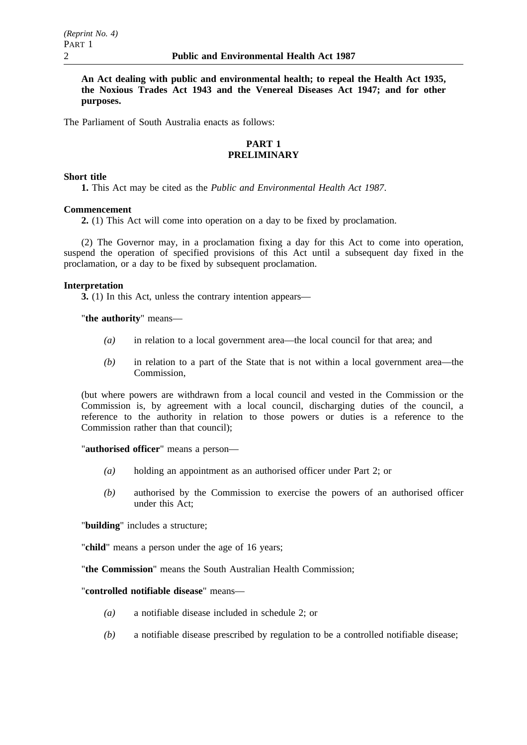**An Act dealing with public and environmental health; to repeal the Health Act 1935, the Noxious Trades Act 1943 and the Venereal Diseases Act 1947; and for other purposes.**

The Parliament of South Australia enacts as follows:

## **PART 1 PRELIMINARY**

### **Short title**

**1.** This Act may be cited as the *Public and Environmental Health Act 1987*.

## **Commencement**

**2.** (1) This Act will come into operation on a day to be fixed by proclamation.

(2) The Governor may, in a proclamation fixing a day for this Act to come into operation, suspend the operation of specified provisions of this Act until a subsequent day fixed in the proclamation, or a day to be fixed by subsequent proclamation.

## **Interpretation**

**3.** (1) In this Act, unless the contrary intention appears—

"**the authority**" means—

- *(a)* in relation to a local government area—the local council for that area; and
- *(b)* in relation to a part of the State that is not within a local government area—the Commission,

(but where powers are withdrawn from a local council and vested in the Commission or the Commission is, by agreement with a local council, discharging duties of the council, a reference to the authority in relation to those powers or duties is a reference to the Commission rather than that council);

"**authorised officer**" means a person—

- *(a)* holding an appointment as an authorised officer under Part 2; or
- *(b)* authorised by the Commission to exercise the powers of an authorised officer under this Act;

"**building**" includes a structure;

"**child**" means a person under the age of 16 years;

"**the Commission**" means the South Australian Health Commission;

"**controlled notifiable disease**" means—

- *(a)* a notifiable disease included in schedule 2; or
- *(b)* a notifiable disease prescribed by regulation to be a controlled notifiable disease;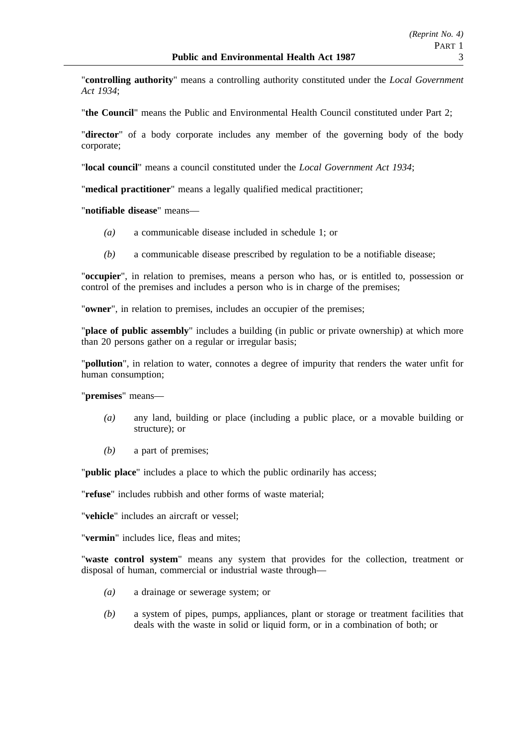"**controlling authority**" means a controlling authority constituted under the *Local Government Act 1934*;

"**the Council**" means the Public and Environmental Health Council constituted under Part 2;

"**director**" of a body corporate includes any member of the governing body of the body corporate;

"**local council**" means a council constituted under the *Local Government Act 1934*;

"**medical practitioner**" means a legally qualified medical practitioner;

"**notifiable disease**" means—

- *(a)* a communicable disease included in schedule 1; or
- *(b)* a communicable disease prescribed by regulation to be a notifiable disease;

"**occupier**", in relation to premises, means a person who has, or is entitled to, possession or control of the premises and includes a person who is in charge of the premises;

"**owner**", in relation to premises, includes an occupier of the premises;

"**place of public assembly**" includes a building (in public or private ownership) at which more than 20 persons gather on a regular or irregular basis;

"**pollution**", in relation to water, connotes a degree of impurity that renders the water unfit for human consumption;

"**premises**" means—

- *(a)* any land, building or place (including a public place, or a movable building or structure); or
- *(b)* a part of premises;

"**public place**" includes a place to which the public ordinarily has access;

"**refuse**" includes rubbish and other forms of waste material;

"**vehicle**" includes an aircraft or vessel;

"**vermin**" includes lice, fleas and mites;

"**waste control system**" means any system that provides for the collection, treatment or disposal of human, commercial or industrial waste through—

- *(a)* a drainage or sewerage system; or
- *(b)* a system of pipes, pumps, appliances, plant or storage or treatment facilities that deals with the waste in solid or liquid form, or in a combination of both; or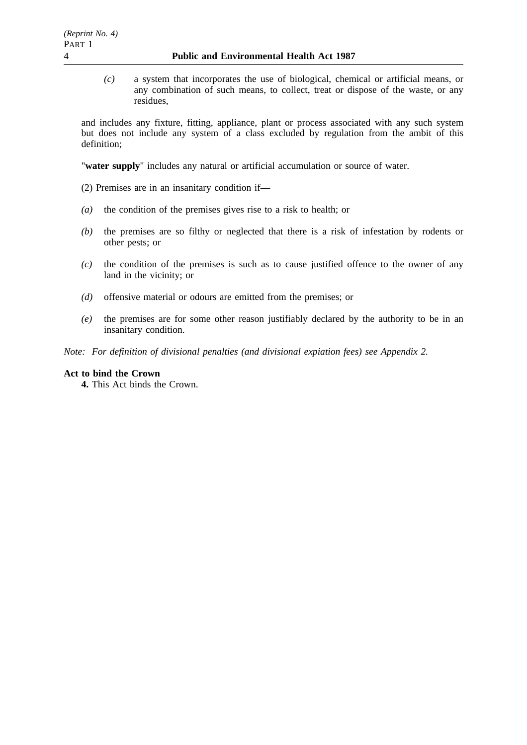*(c)* a system that incorporates the use of biological, chemical or artificial means, or any combination of such means, to collect, treat or dispose of the waste, or any residues,

and includes any fixture, fitting, appliance, plant or process associated with any such system but does not include any system of a class excluded by regulation from the ambit of this definition;

"**water supply**" includes any natural or artificial accumulation or source of water.

- (2) Premises are in an insanitary condition if—
- *(a)* the condition of the premises gives rise to a risk to health; or
- *(b)* the premises are so filthy or neglected that there is a risk of infestation by rodents or other pests; or
- *(c)* the condition of the premises is such as to cause justified offence to the owner of any land in the vicinity; or
- *(d)* offensive material or odours are emitted from the premises; or
- *(e)* the premises are for some other reason justifiably declared by the authority to be in an insanitary condition.

*Note: For definition of divisional penalties (and divisional expiation fees) see Appendix 2.*

## **Act to bind the Crown**

**4.** This Act binds the Crown.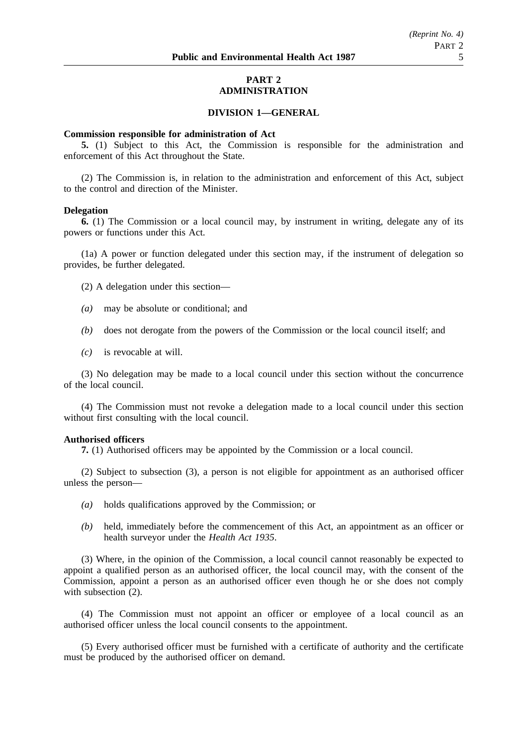## **PART 2 ADMINISTRATION**

## **DIVISION 1—GENERAL**

#### **Commission responsible for administration of Act**

**5.** (1) Subject to this Act, the Commission is responsible for the administration and enforcement of this Act throughout the State.

(2) The Commission is, in relation to the administration and enforcement of this Act, subject to the control and direction of the Minister.

#### **Delegation**

**6.** (1) The Commission or a local council may, by instrument in writing, delegate any of its powers or functions under this Act.

(1a) A power or function delegated under this section may, if the instrument of delegation so provides, be further delegated.

(2) A delegation under this section—

- *(a)* may be absolute or conditional; and
- *(b)* does not derogate from the powers of the Commission or the local council itself; and
- *(c)* is revocable at will.

(3) No delegation may be made to a local council under this section without the concurrence of the local council.

(4) The Commission must not revoke a delegation made to a local council under this section without first consulting with the local council.

#### **Authorised officers**

**7.** (1) Authorised officers may be appointed by the Commission or a local council.

(2) Subject to subsection (3), a person is not eligible for appointment as an authorised officer unless the person—

- *(a)* holds qualifications approved by the Commission; or
- *(b)* held, immediately before the commencement of this Act, an appointment as an officer or health surveyor under the *Health Act 1935*.

(3) Where, in the opinion of the Commission, a local council cannot reasonably be expected to appoint a qualified person as an authorised officer, the local council may, with the consent of the Commission, appoint a person as an authorised officer even though he or she does not comply with subsection  $(2)$ .

(4) The Commission must not appoint an officer or employee of a local council as an authorised officer unless the local council consents to the appointment.

(5) Every authorised officer must be furnished with a certificate of authority and the certificate must be produced by the authorised officer on demand.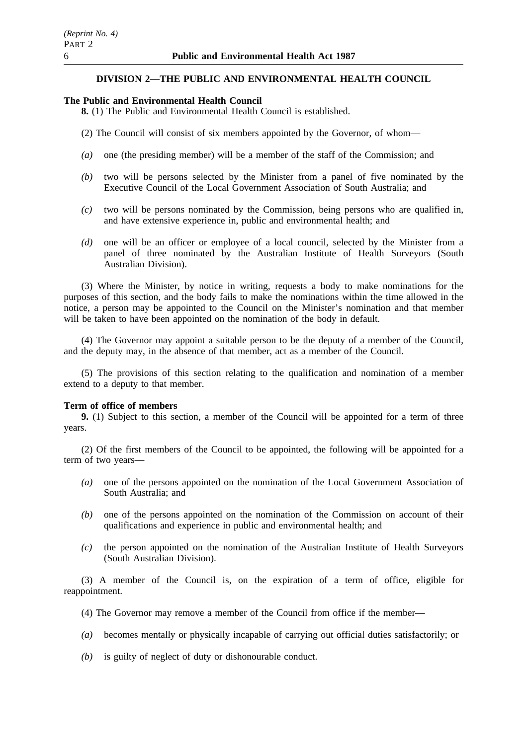## **DIVISION 2—THE PUBLIC AND ENVIRONMENTAL HEALTH COUNCIL**

#### **The Public and Environmental Health Council**

**8.** (1) The Public and Environmental Health Council is established.

- (2) The Council will consist of six members appointed by the Governor, of whom—
- *(a)* one (the presiding member) will be a member of the staff of the Commission; and
- *(b)* two will be persons selected by the Minister from a panel of five nominated by the Executive Council of the Local Government Association of South Australia; and
- *(c)* two will be persons nominated by the Commission, being persons who are qualified in, and have extensive experience in, public and environmental health; and
- *(d)* one will be an officer or employee of a local council, selected by the Minister from a panel of three nominated by the Australian Institute of Health Surveyors (South Australian Division).

(3) Where the Minister, by notice in writing, requests a body to make nominations for the purposes of this section, and the body fails to make the nominations within the time allowed in the notice, a person may be appointed to the Council on the Minister's nomination and that member will be taken to have been appointed on the nomination of the body in default.

(4) The Governor may appoint a suitable person to be the deputy of a member of the Council, and the deputy may, in the absence of that member, act as a member of the Council.

(5) The provisions of this section relating to the qualification and nomination of a member extend to a deputy to that member.

#### **Term of office of members**

**9.** (1) Subject to this section, a member of the Council will be appointed for a term of three years.

(2) Of the first members of the Council to be appointed, the following will be appointed for a term of two years—

- *(a)* one of the persons appointed on the nomination of the Local Government Association of South Australia; and
- *(b)* one of the persons appointed on the nomination of the Commission on account of their qualifications and experience in public and environmental health; and
- *(c)* the person appointed on the nomination of the Australian Institute of Health Surveyors (South Australian Division).

(3) A member of the Council is, on the expiration of a term of office, eligible for reappointment.

- (4) The Governor may remove a member of the Council from office if the member—
- *(a)* becomes mentally or physically incapable of carrying out official duties satisfactorily; or
- *(b)* is guilty of neglect of duty or dishonourable conduct.

*(Reprint No. 4)* PART 2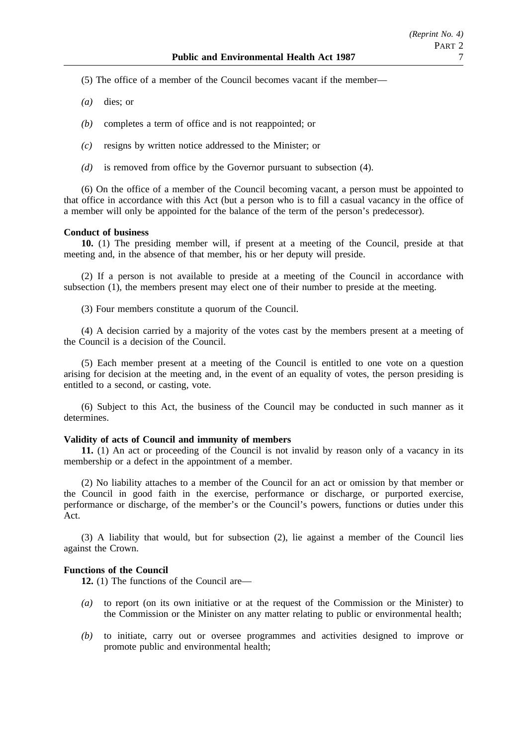- (5) The office of a member of the Council becomes vacant if the member—
- *(a)* dies; or
- *(b)* completes a term of office and is not reappointed; or
- *(c)* resigns by written notice addressed to the Minister; or
- *(d)* is removed from office by the Governor pursuant to subsection (4).

(6) On the office of a member of the Council becoming vacant, a person must be appointed to that office in accordance with this Act (but a person who is to fill a casual vacancy in the office of a member will only be appointed for the balance of the term of the person's predecessor).

#### **Conduct of business**

**10.** (1) The presiding member will, if present at a meeting of the Council, preside at that meeting and, in the absence of that member, his or her deputy will preside.

(2) If a person is not available to preside at a meeting of the Council in accordance with subsection (1), the members present may elect one of their number to preside at the meeting.

(3) Four members constitute a quorum of the Council.

(4) A decision carried by a majority of the votes cast by the members present at a meeting of the Council is a decision of the Council.

(5) Each member present at a meeting of the Council is entitled to one vote on a question arising for decision at the meeting and, in the event of an equality of votes, the person presiding is entitled to a second, or casting, vote.

(6) Subject to this Act, the business of the Council may be conducted in such manner as it determines.

#### **Validity of acts of Council and immunity of members**

**11.** (1) An act or proceeding of the Council is not invalid by reason only of a vacancy in its membership or a defect in the appointment of a member.

(2) No liability attaches to a member of the Council for an act or omission by that member or the Council in good faith in the exercise, performance or discharge, or purported exercise, performance or discharge, of the member's or the Council's powers, functions or duties under this Act.

(3) A liability that would, but for subsection (2), lie against a member of the Council lies against the Crown.

### **Functions of the Council**

**12.** (1) The functions of the Council are—

- *(a)* to report (on its own initiative or at the request of the Commission or the Minister) to the Commission or the Minister on any matter relating to public or environmental health;
- *(b)* to initiate, carry out or oversee programmes and activities designed to improve or promote public and environmental health;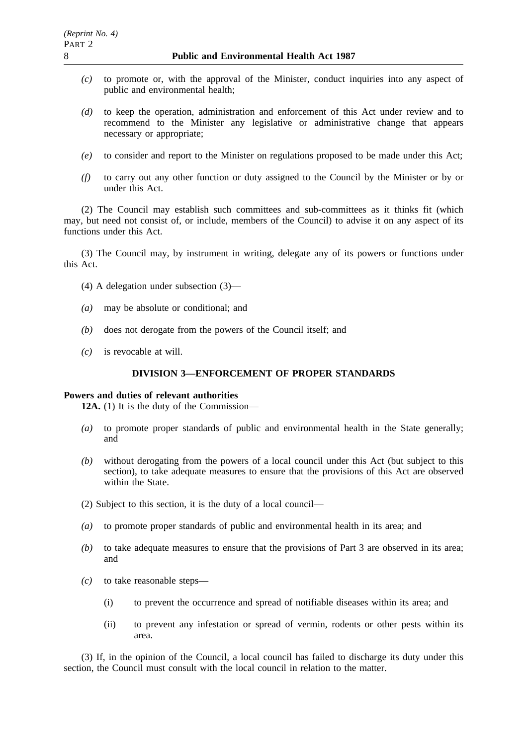- *(c)* to promote or, with the approval of the Minister, conduct inquiries into any aspect of public and environmental health;
- *(d)* to keep the operation, administration and enforcement of this Act under review and to recommend to the Minister any legislative or administrative change that appears necessary or appropriate;
- *(e)* to consider and report to the Minister on regulations proposed to be made under this Act;
- *(f)* to carry out any other function or duty assigned to the Council by the Minister or by or under this Act.

(2) The Council may establish such committees and sub-committees as it thinks fit (which may, but need not consist of, or include, members of the Council) to advise it on any aspect of its functions under this Act.

(3) The Council may, by instrument in writing, delegate any of its powers or functions under this Act.

- (4) A delegation under subsection (3)—
- *(a)* may be absolute or conditional; and
- *(b)* does not derogate from the powers of the Council itself; and
- *(c)* is revocable at will.

## **DIVISION 3—ENFORCEMENT OF PROPER STANDARDS**

### **Powers and duties of relevant authorities**

**12A.** (1) It is the duty of the Commission—

- *(a)* to promote proper standards of public and environmental health in the State generally; and
- *(b)* without derogating from the powers of a local council under this Act (but subject to this section), to take adequate measures to ensure that the provisions of this Act are observed within the State.
- (2) Subject to this section, it is the duty of a local council—
- *(a)* to promote proper standards of public and environmental health in its area; and
- *(b)* to take adequate measures to ensure that the provisions of Part 3 are observed in its area; and
- *(c)* to take reasonable steps—
	- (i) to prevent the occurrence and spread of notifiable diseases within its area; and
	- (ii) to prevent any infestation or spread of vermin, rodents or other pests within its area.

(3) If, in the opinion of the Council, a local council has failed to discharge its duty under this section, the Council must consult with the local council in relation to the matter.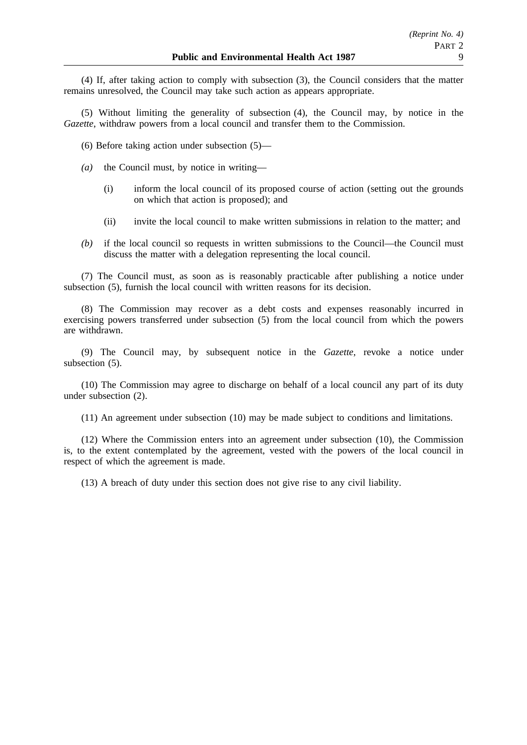(4) If, after taking action to comply with subsection (3), the Council considers that the matter remains unresolved, the Council may take such action as appears appropriate.

(5) Without limiting the generality of subsection (4), the Council may, by notice in the *Gazette*, withdraw powers from a local council and transfer them to the Commission.

(6) Before taking action under subsection (5)—

- *(a)* the Council must, by notice in writing—
	- (i) inform the local council of its proposed course of action (setting out the grounds on which that action is proposed); and
	- (ii) invite the local council to make written submissions in relation to the matter; and
- *(b)* if the local council so requests in written submissions to the Council—the Council must discuss the matter with a delegation representing the local council.

(7) The Council must, as soon as is reasonably practicable after publishing a notice under subsection (5), furnish the local council with written reasons for its decision.

(8) The Commission may recover as a debt costs and expenses reasonably incurred in exercising powers transferred under subsection (5) from the local council from which the powers are withdrawn.

(9) The Council may, by subsequent notice in the *Gazette*, revoke a notice under subsection  $(5)$ .

(10) The Commission may agree to discharge on behalf of a local council any part of its duty under subsection (2).

(11) An agreement under subsection (10) may be made subject to conditions and limitations.

(12) Where the Commission enters into an agreement under subsection (10), the Commission is, to the extent contemplated by the agreement, vested with the powers of the local council in respect of which the agreement is made.

(13) A breach of duty under this section does not give rise to any civil liability.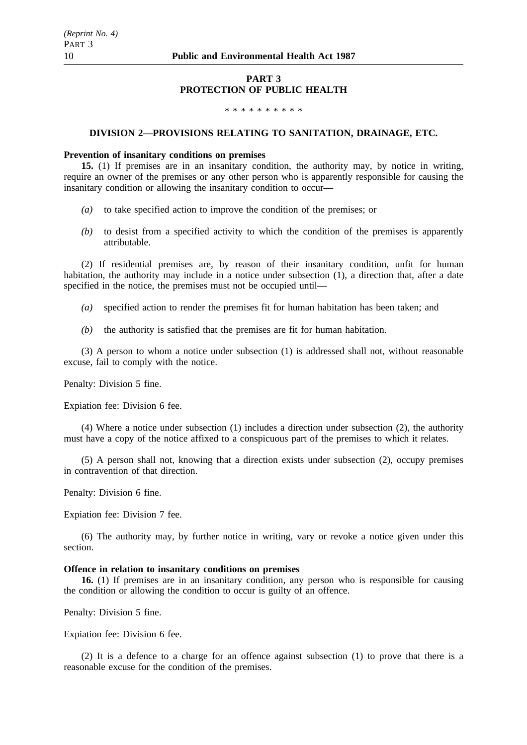#### **PART 3 PROTECTION OF PUBLIC HEALTH**

#### \*\*\*\*\*\*\*\*\*\*

#### **DIVISION 2—PROVISIONS RELATING TO SANITATION, DRAINAGE, ETC.**

#### **Prevention of insanitary conditions on premises**

**15.** (1) If premises are in an insanitary condition, the authority may, by notice in writing, require an owner of the premises or any other person who is apparently responsible for causing the insanitary condition or allowing the insanitary condition to occur—

- *(a)* to take specified action to improve the condition of the premises; or
- *(b)* to desist from a specified activity to which the condition of the premises is apparently attributable.

(2) If residential premises are, by reason of their insanitary condition, unfit for human habitation, the authority may include in a notice under subsection (1), a direction that, after a date specified in the notice, the premises must not be occupied until—

- *(a)* specified action to render the premises fit for human habitation has been taken; and
- *(b)* the authority is satisfied that the premises are fit for human habitation.

(3) A person to whom a notice under subsection (1) is addressed shall not, without reasonable excuse, fail to comply with the notice.

Penalty: Division 5 fine.

Expiation fee: Division 6 fee.

(4) Where a notice under subsection (1) includes a direction under subsection (2), the authority must have a copy of the notice affixed to a conspicuous part of the premises to which it relates.

(5) A person shall not, knowing that a direction exists under subsection (2), occupy premises in contravention of that direction.

Penalty: Division 6 fine.

Expiation fee: Division 7 fee.

(6) The authority may, by further notice in writing, vary or revoke a notice given under this section.

### **Offence in relation to insanitary conditions on premises**

**16.** (1) If premises are in an insanitary condition, any person who is responsible for causing the condition or allowing the condition to occur is guilty of an offence.

Penalty: Division 5 fine.

Expiation fee: Division 6 fee.

(2) It is a defence to a charge for an offence against subsection (1) to prove that there is a reasonable excuse for the condition of the premises.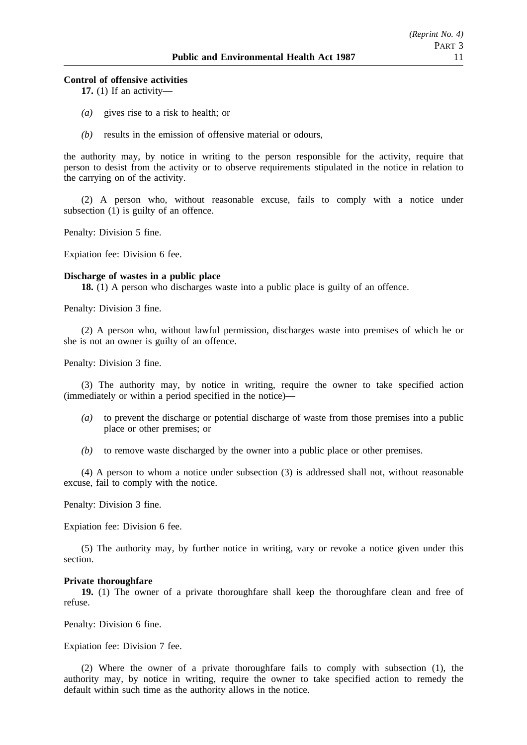#### **Control of offensive activities**

**17.** (1) If an activity—

- *(a)* gives rise to a risk to health; or
- *(b)* results in the emission of offensive material or odours,

the authority may, by notice in writing to the person responsible for the activity, require that person to desist from the activity or to observe requirements stipulated in the notice in relation to the carrying on of the activity.

(2) A person who, without reasonable excuse, fails to comply with a notice under subsection (1) is guilty of an offence.

Penalty: Division 5 fine.

Expiation fee: Division 6 fee.

#### **Discharge of wastes in a public place**

**18.** (1) A person who discharges waste into a public place is guilty of an offence.

Penalty: Division 3 fine.

(2) A person who, without lawful permission, discharges waste into premises of which he or she is not an owner is guilty of an offence.

Penalty: Division 3 fine.

(3) The authority may, by notice in writing, require the owner to take specified action (immediately or within a period specified in the notice)—

- *(a)* to prevent the discharge or potential discharge of waste from those premises into a public place or other premises; or
- *(b)* to remove waste discharged by the owner into a public place or other premises.

(4) A person to whom a notice under subsection (3) is addressed shall not, without reasonable excuse, fail to comply with the notice.

Penalty: Division 3 fine.

Expiation fee: Division 6 fee.

(5) The authority may, by further notice in writing, vary or revoke a notice given under this section.

#### **Private thoroughfare**

**19.** (1) The owner of a private thoroughfare shall keep the thoroughfare clean and free of refuse.

Penalty: Division 6 fine.

Expiation fee: Division 7 fee.

(2) Where the owner of a private thoroughfare fails to comply with subsection (1), the authority may, by notice in writing, require the owner to take specified action to remedy the default within such time as the authority allows in the notice.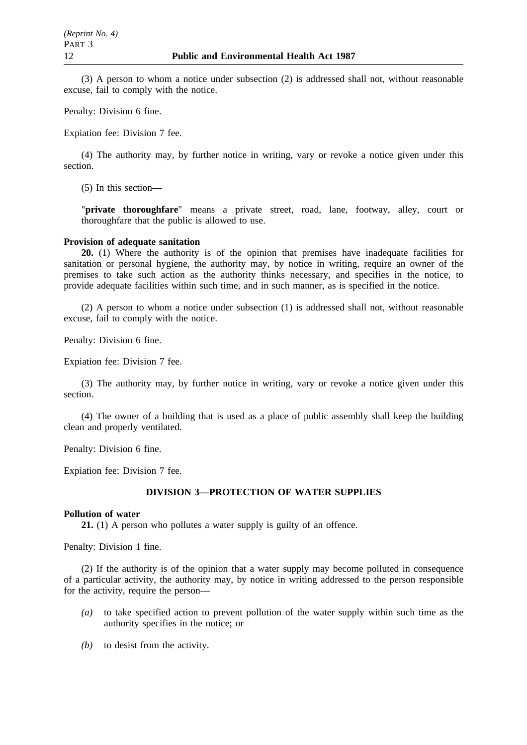(3) A person to whom a notice under subsection (2) is addressed shall not, without reasonable excuse, fail to comply with the notice.

Penalty: Division 6 fine.

Expiation fee: Division 7 fee.

(4) The authority may, by further notice in writing, vary or revoke a notice given under this section.

(5) In this section—

"**private thoroughfare**" means a private street, road, lane, footway, alley, court or thoroughfare that the public is allowed to use.

### **Provision of adequate sanitation**

**20.** (1) Where the authority is of the opinion that premises have inadequate facilities for sanitation or personal hygiene, the authority may, by notice in writing, require an owner of the premises to take such action as the authority thinks necessary, and specifies in the notice, to provide adequate facilities within such time, and in such manner, as is specified in the notice.

(2) A person to whom a notice under subsection (1) is addressed shall not, without reasonable excuse, fail to comply with the notice.

Penalty: Division 6 fine.

Expiation fee: Division 7 fee.

(3) The authority may, by further notice in writing, vary or revoke a notice given under this section.

(4) The owner of a building that is used as a place of public assembly shall keep the building clean and properly ventilated.

Penalty: Division 6 fine.

Expiation fee: Division 7 fee.

## **DIVISION 3—PROTECTION OF WATER SUPPLIES**

### **Pollution of water**

**21.** (1) A person who pollutes a water supply is guilty of an offence.

Penalty: Division 1 fine.

(2) If the authority is of the opinion that a water supply may become polluted in consequence of a particular activity, the authority may, by notice in writing addressed to the person responsible for the activity, require the person—

- *(a)* to take specified action to prevent pollution of the water supply within such time as the authority specifies in the notice; or
- *(b)* to desist from the activity.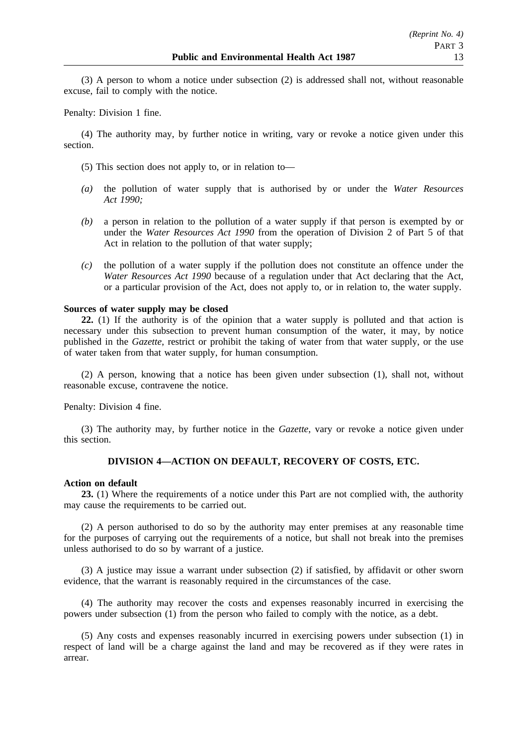(3) A person to whom a notice under subsection (2) is addressed shall not, without reasonable excuse, fail to comply with the notice.

Penalty: Division 1 fine.

(4) The authority may, by further notice in writing, vary or revoke a notice given under this section.

- (5) This section does not apply to, or in relation to—
- *(a)* the pollution of water supply that is authorised by or under the *Water Resources Act 1990;*
- *(b)* a person in relation to the pollution of a water supply if that person is exempted by or under the *Water Resources Act 1990* from the operation of Division 2 of Part 5 of that Act in relation to the pollution of that water supply;
- *(c)* the pollution of a water supply if the pollution does not constitute an offence under the *Water Resources Act 1990* because of a regulation under that Act declaring that the Act, or a particular provision of the Act, does not apply to, or in relation to, the water supply.

### **Sources of water supply may be closed**

**22.** (1) If the authority is of the opinion that a water supply is polluted and that action is necessary under this subsection to prevent human consumption of the water, it may, by notice published in the *Gazette*, restrict or prohibit the taking of water from that water supply, or the use of water taken from that water supply, for human consumption.

(2) A person, knowing that a notice has been given under subsection (1), shall not, without reasonable excuse, contravene the notice.

Penalty: Division 4 fine.

(3) The authority may, by further notice in the *Gazette*, vary or revoke a notice given under this section.

## **DIVISION 4—ACTION ON DEFAULT, RECOVERY OF COSTS, ETC.**

### **Action on default**

**23.** (1) Where the requirements of a notice under this Part are not complied with, the authority may cause the requirements to be carried out.

(2) A person authorised to do so by the authority may enter premises at any reasonable time for the purposes of carrying out the requirements of a notice, but shall not break into the premises unless authorised to do so by warrant of a justice.

(3) A justice may issue a warrant under subsection (2) if satisfied, by affidavit or other sworn evidence, that the warrant is reasonably required in the circumstances of the case.

(4) The authority may recover the costs and expenses reasonably incurred in exercising the powers under subsection (1) from the person who failed to comply with the notice, as a debt.

(5) Any costs and expenses reasonably incurred in exercising powers under subsection (1) in respect of land will be a charge against the land and may be recovered as if they were rates in arrear.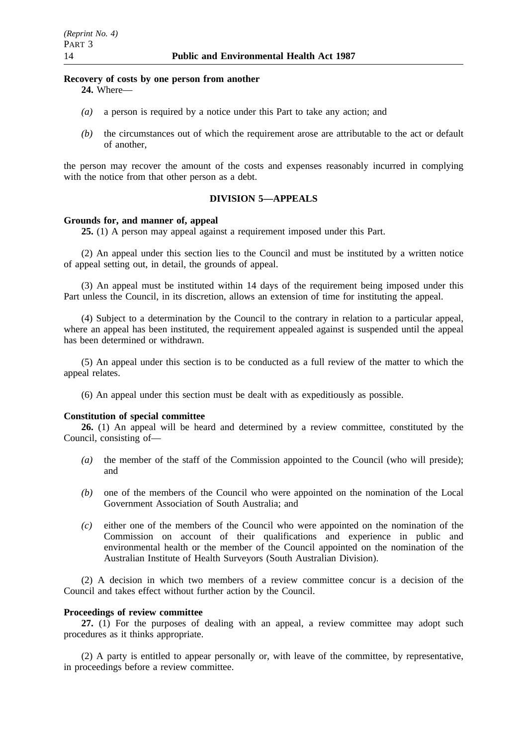#### **Recovery of costs by one person from another 24.** Where—

- *(a)* a person is required by a notice under this Part to take any action; and
- *(b)* the circumstances out of which the requirement arose are attributable to the act or default of another,

the person may recover the amount of the costs and expenses reasonably incurred in complying with the notice from that other person as a debt.

## **DIVISION 5—APPEALS**

#### **Grounds for, and manner of, appeal**

**25.** (1) A person may appeal against a requirement imposed under this Part.

(2) An appeal under this section lies to the Council and must be instituted by a written notice of appeal setting out, in detail, the grounds of appeal.

(3) An appeal must be instituted within 14 days of the requirement being imposed under this Part unless the Council, in its discretion, allows an extension of time for instituting the appeal.

(4) Subject to a determination by the Council to the contrary in relation to a particular appeal, where an appeal has been instituted, the requirement appealed against is suspended until the appeal has been determined or withdrawn.

(5) An appeal under this section is to be conducted as a full review of the matter to which the appeal relates.

(6) An appeal under this section must be dealt with as expeditiously as possible.

#### **Constitution of special committee**

**26.** (1) An appeal will be heard and determined by a review committee, constituted by the Council, consisting of—

- *(a)* the member of the staff of the Commission appointed to the Council (who will preside); and
- *(b)* one of the members of the Council who were appointed on the nomination of the Local Government Association of South Australia; and
- *(c)* either one of the members of the Council who were appointed on the nomination of the Commission on account of their qualifications and experience in public and environmental health or the member of the Council appointed on the nomination of the Australian Institute of Health Surveyors (South Australian Division).

(2) A decision in which two members of a review committee concur is a decision of the Council and takes effect without further action by the Council.

### **Proceedings of review committee**

**27.** (1) For the purposes of dealing with an appeal, a review committee may adopt such procedures as it thinks appropriate.

(2) A party is entitled to appear personally or, with leave of the committee, by representative, in proceedings before a review committee.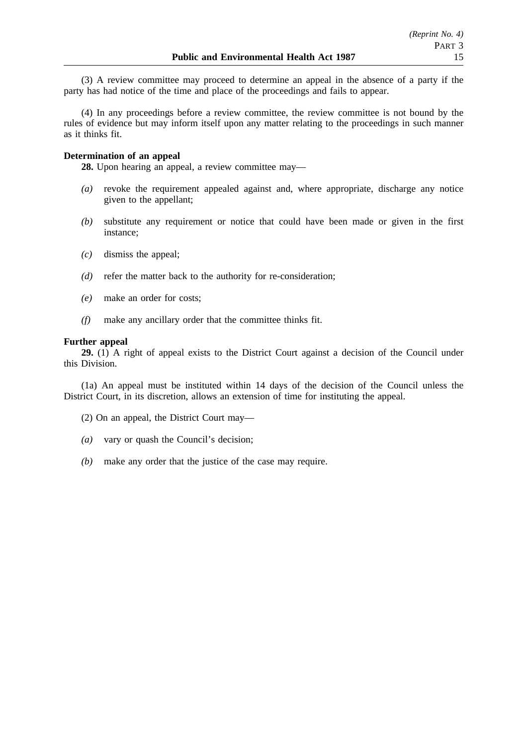(3) A review committee may proceed to determine an appeal in the absence of a party if the party has had notice of the time and place of the proceedings and fails to appear.

(4) In any proceedings before a review committee, the review committee is not bound by the rules of evidence but may inform itself upon any matter relating to the proceedings in such manner as it thinks fit.

## **Determination of an appeal**

**28.** Upon hearing an appeal, a review committee may—

- *(a)* revoke the requirement appealed against and, where appropriate, discharge any notice given to the appellant;
- *(b)* substitute any requirement or notice that could have been made or given in the first instance;
- *(c)* dismiss the appeal;
- *(d)* refer the matter back to the authority for re-consideration;
- *(e)* make an order for costs;
- *(f)* make any ancillary order that the committee thinks fit.

### **Further appeal**

**29.** (1) A right of appeal exists to the District Court against a decision of the Council under this Division.

(1a) An appeal must be instituted within 14 days of the decision of the Council unless the District Court, in its discretion, allows an extension of time for instituting the appeal.

- (2) On an appeal, the District Court may—
- *(a)* vary or quash the Council's decision;
- *(b)* make any order that the justice of the case may require.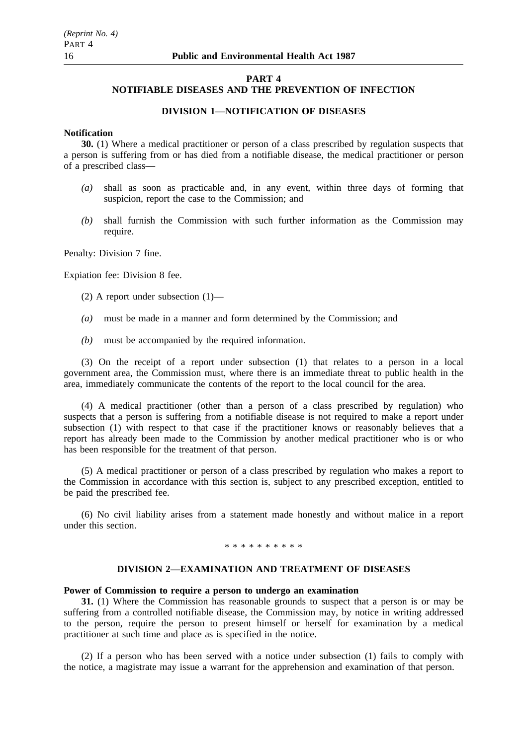#### **PART 4**

## **NOTIFIABLE DISEASES AND THE PREVENTION OF INFECTION**

## **DIVISION 1—NOTIFICATION OF DISEASES**

## **Notification**

**30.** (1) Where a medical practitioner or person of a class prescribed by regulation suspects that a person is suffering from or has died from a notifiable disease, the medical practitioner or person of a prescribed class—

- *(a)* shall as soon as practicable and, in any event, within three days of forming that suspicion, report the case to the Commission; and
- *(b)* shall furnish the Commission with such further information as the Commission may require.

Penalty: Division 7 fine.

Expiation fee: Division 8 fee.

- (2) A report under subsection (1)—
- *(a)* must be made in a manner and form determined by the Commission; and
- *(b)* must be accompanied by the required information.

(3) On the receipt of a report under subsection (1) that relates to a person in a local government area, the Commission must, where there is an immediate threat to public health in the area, immediately communicate the contents of the report to the local council for the area.

(4) A medical practitioner (other than a person of a class prescribed by regulation) who suspects that a person is suffering from a notifiable disease is not required to make a report under subsection (1) with respect to that case if the practitioner knows or reasonably believes that a report has already been made to the Commission by another medical practitioner who is or who has been responsible for the treatment of that person.

(5) A medical practitioner or person of a class prescribed by regulation who makes a report to the Commission in accordance with this section is, subject to any prescribed exception, entitled to be paid the prescribed fee.

(6) No civil liability arises from a statement made honestly and without malice in a report under this section.

\*\*\*\*\*\*\*\*\*\*

#### **DIVISION 2—EXAMINATION AND TREATMENT OF DISEASES**

#### **Power of Commission to require a person to undergo an examination**

**31.** (1) Where the Commission has reasonable grounds to suspect that a person is or may be suffering from a controlled notifiable disease, the Commission may, by notice in writing addressed to the person, require the person to present himself or herself for examination by a medical practitioner at such time and place as is specified in the notice.

(2) If a person who has been served with a notice under subsection (1) fails to comply with the notice, a magistrate may issue a warrant for the apprehension and examination of that person.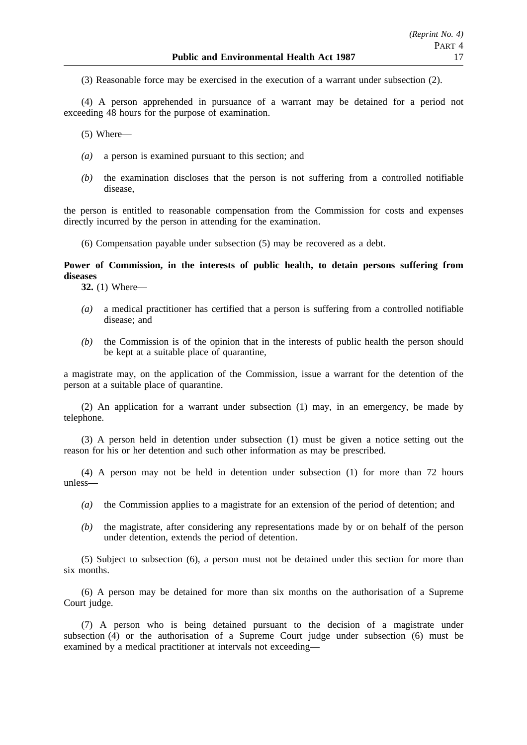(3) Reasonable force may be exercised in the execution of a warrant under subsection (2).

(4) A person apprehended in pursuance of a warrant may be detained for a period not exceeding 48 hours for the purpose of examination.

(5) Where—

- *(a)* a person is examined pursuant to this section; and
- *(b)* the examination discloses that the person is not suffering from a controlled notifiable disease,

the person is entitled to reasonable compensation from the Commission for costs and expenses directly incurred by the person in attending for the examination.

(6) Compensation payable under subsection (5) may be recovered as a debt.

## **Power of Commission, in the interests of public health, to detain persons suffering from diseases**

**32.** (1) Where—

- *(a)* a medical practitioner has certified that a person is suffering from a controlled notifiable disease; and
- *(b)* the Commission is of the opinion that in the interests of public health the person should be kept at a suitable place of quarantine,

a magistrate may, on the application of the Commission, issue a warrant for the detention of the person at a suitable place of quarantine.

(2) An application for a warrant under subsection (1) may, in an emergency, be made by telephone.

(3) A person held in detention under subsection (1) must be given a notice setting out the reason for his or her detention and such other information as may be prescribed.

(4) A person may not be held in detention under subsection (1) for more than 72 hours unless—

- *(a)* the Commission applies to a magistrate for an extension of the period of detention; and
- *(b)* the magistrate, after considering any representations made by or on behalf of the person under detention, extends the period of detention.

(5) Subject to subsection (6), a person must not be detained under this section for more than six months.

(6) A person may be detained for more than six months on the authorisation of a Supreme Court judge.

(7) A person who is being detained pursuant to the decision of a magistrate under subsection  $(4)$  or the authorisation of a Supreme Court judge under subsection  $(6)$  must be examined by a medical practitioner at intervals not exceeding—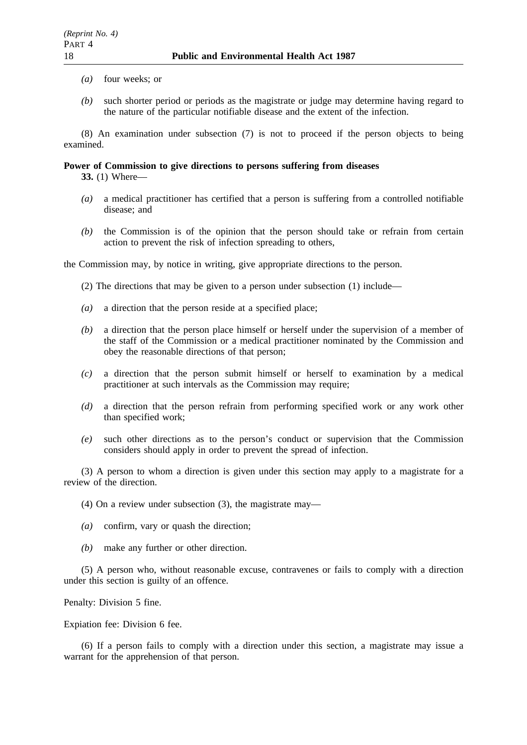- *(a)* four weeks; or
- *(b)* such shorter period or periods as the magistrate or judge may determine having regard to the nature of the particular notifiable disease and the extent of the infection.

(8) An examination under subsection (7) is not to proceed if the person objects to being examined.

### **Power of Commission to give directions to persons suffering from diseases**

**33.** (1) Where—

- *(a)* a medical practitioner has certified that a person is suffering from a controlled notifiable disease; and
- *(b)* the Commission is of the opinion that the person should take or refrain from certain action to prevent the risk of infection spreading to others,

the Commission may, by notice in writing, give appropriate directions to the person.

(2) The directions that may be given to a person under subsection (1) include—

- *(a)* a direction that the person reside at a specified place;
- *(b)* a direction that the person place himself or herself under the supervision of a member of the staff of the Commission or a medical practitioner nominated by the Commission and obey the reasonable directions of that person;
- *(c)* a direction that the person submit himself or herself to examination by a medical practitioner at such intervals as the Commission may require;
- *(d)* a direction that the person refrain from performing specified work or any work other than specified work;
- *(e)* such other directions as to the person's conduct or supervision that the Commission considers should apply in order to prevent the spread of infection.

(3) A person to whom a direction is given under this section may apply to a magistrate for a review of the direction.

(4) On a review under subsection (3), the magistrate may—

- *(a)* confirm, vary or quash the direction;
- *(b)* make any further or other direction.

(5) A person who, without reasonable excuse, contravenes or fails to comply with a direction under this section is guilty of an offence.

Penalty: Division 5 fine.

Expiation fee: Division 6 fee.

(6) If a person fails to comply with a direction under this section, a magistrate may issue a warrant for the apprehension of that person.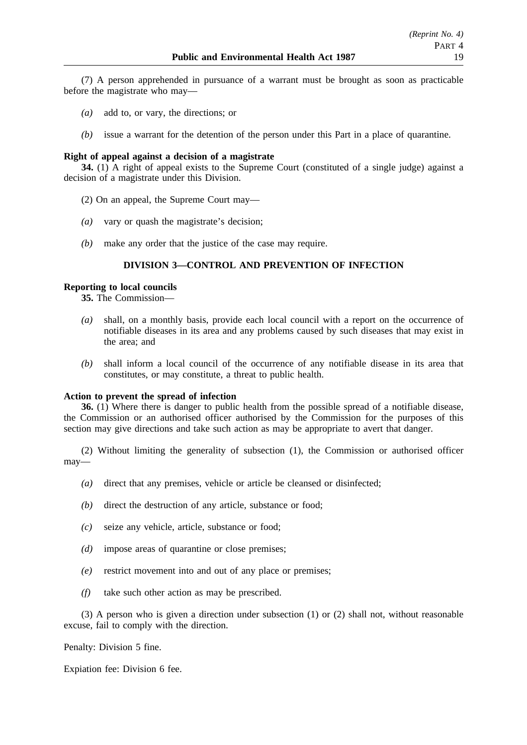(7) A person apprehended in pursuance of a warrant must be brought as soon as practicable before the magistrate who may—

- *(a)* add to, or vary, the directions; or
- *(b)* issue a warrant for the detention of the person under this Part in a place of quarantine.

## **Right of appeal against a decision of a magistrate**

**34.** (1) A right of appeal exists to the Supreme Court (constituted of a single judge) against a decision of a magistrate under this Division.

- (2) On an appeal, the Supreme Court may—
- *(a)* vary or quash the magistrate's decision;
- *(b)* make any order that the justice of the case may require.

## **DIVISION 3—CONTROL AND PREVENTION OF INFECTION**

### **Reporting to local councils**

**35.** The Commission—

- *(a)* shall, on a monthly basis, provide each local council with a report on the occurrence of notifiable diseases in its area and any problems caused by such diseases that may exist in the area; and
- *(b)* shall inform a local council of the occurrence of any notifiable disease in its area that constitutes, or may constitute, a threat to public health.

### **Action to prevent the spread of infection**

**36.** (1) Where there is danger to public health from the possible spread of a notifiable disease, the Commission or an authorised officer authorised by the Commission for the purposes of this section may give directions and take such action as may be appropriate to avert that danger.

(2) Without limiting the generality of subsection (1), the Commission or authorised officer may—

- *(a)* direct that any premises, vehicle or article be cleansed or disinfected;
- *(b)* direct the destruction of any article, substance or food;
- *(c)* seize any vehicle, article, substance or food;
- *(d)* impose areas of quarantine or close premises;
- *(e)* restrict movement into and out of any place or premises;
- *(f)* take such other action as may be prescribed.

(3) A person who is given a direction under subsection (1) or (2) shall not, without reasonable excuse, fail to comply with the direction.

Penalty: Division 5 fine.

Expiation fee: Division 6 fee.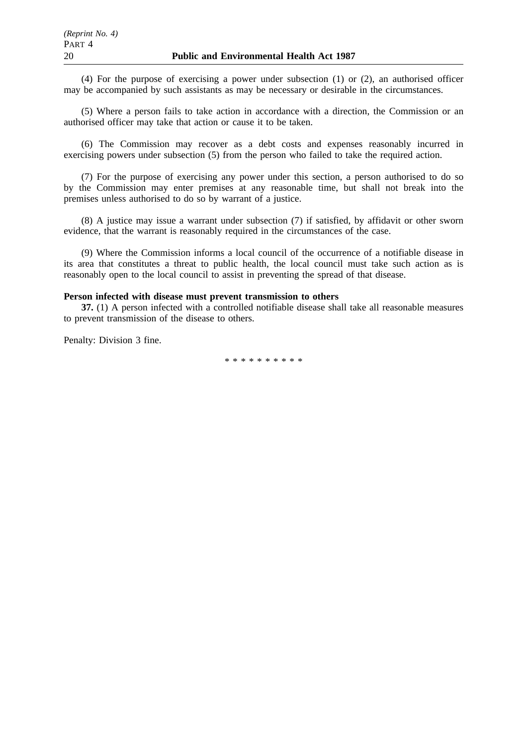(4) For the purpose of exercising a power under subsection (1) or (2), an authorised officer may be accompanied by such assistants as may be necessary or desirable in the circumstances.

(5) Where a person fails to take action in accordance with a direction, the Commission or an authorised officer may take that action or cause it to be taken.

(6) The Commission may recover as a debt costs and expenses reasonably incurred in exercising powers under subsection (5) from the person who failed to take the required action.

(7) For the purpose of exercising any power under this section, a person authorised to do so by the Commission may enter premises at any reasonable time, but shall not break into the premises unless authorised to do so by warrant of a justice.

(8) A justice may issue a warrant under subsection (7) if satisfied, by affidavit or other sworn evidence, that the warrant is reasonably required in the circumstances of the case.

(9) Where the Commission informs a local council of the occurrence of a notifiable disease in its area that constitutes a threat to public health, the local council must take such action as is reasonably open to the local council to assist in preventing the spread of that disease.

## **Person infected with disease must prevent transmission to others**

**37.** (1) A person infected with a controlled notifiable disease shall take all reasonable measures to prevent transmission of the disease to others.

Penalty: Division 3 fine.

\*\*\*\*\*\*\*\*\*\*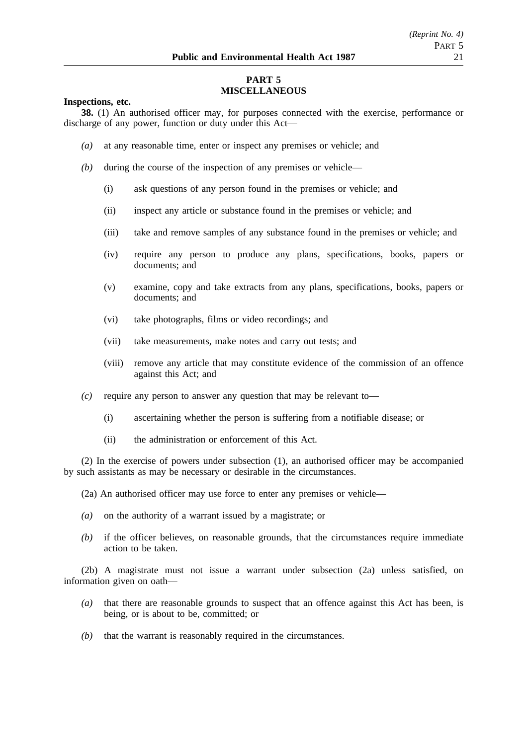## **PART 5 MISCELLANEOUS**

#### **Inspections, etc.**

**38.** (1) An authorised officer may, for purposes connected with the exercise, performance or discharge of any power, function or duty under this Act—

- *(a)* at any reasonable time, enter or inspect any premises or vehicle; and
- *(b)* during the course of the inspection of any premises or vehicle—
	- (i) ask questions of any person found in the premises or vehicle; and
	- (ii) inspect any article or substance found in the premises or vehicle; and
	- (iii) take and remove samples of any substance found in the premises or vehicle; and
	- (iv) require any person to produce any plans, specifications, books, papers or documents; and
	- (v) examine, copy and take extracts from any plans, specifications, books, papers or documents; and
	- (vi) take photographs, films or video recordings; and
	- (vii) take measurements, make notes and carry out tests; and
	- (viii) remove any article that may constitute evidence of the commission of an offence against this Act; and
- *(c)* require any person to answer any question that may be relevant to—
	- (i) ascertaining whether the person is suffering from a notifiable disease; or
	- (ii) the administration or enforcement of this Act.

(2) In the exercise of powers under subsection (1), an authorised officer may be accompanied by such assistants as may be necessary or desirable in the circumstances.

(2a) An authorised officer may use force to enter any premises or vehicle—

- *(a)* on the authority of a warrant issued by a magistrate; or
- *(b)* if the officer believes, on reasonable grounds, that the circumstances require immediate action to be taken.

(2b) A magistrate must not issue a warrant under subsection (2a) unless satisfied, on information given on oath—

- *(a)* that there are reasonable grounds to suspect that an offence against this Act has been, is being, or is about to be, committed; or
- *(b)* that the warrant is reasonably required in the circumstances.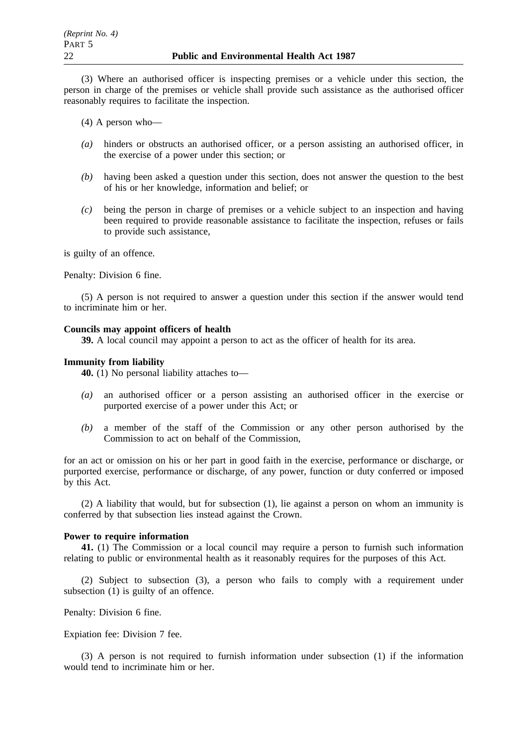(3) Where an authorised officer is inspecting premises or a vehicle under this section, the person in charge of the premises or vehicle shall provide such assistance as the authorised officer reasonably requires to facilitate the inspection.

(4) A person who—

- *(a)* hinders or obstructs an authorised officer, or a person assisting an authorised officer, in the exercise of a power under this section; or
- *(b)* having been asked a question under this section, does not answer the question to the best of his or her knowledge, information and belief; or
- *(c)* being the person in charge of premises or a vehicle subject to an inspection and having been required to provide reasonable assistance to facilitate the inspection, refuses or fails to provide such assistance,

is guilty of an offence.

Penalty: Division 6 fine.

(5) A person is not required to answer a question under this section if the answer would tend to incriminate him or her.

## **Councils may appoint officers of health**

**39.** A local council may appoint a person to act as the officer of health for its area.

#### **Immunity from liability**

**40.** (1) No personal liability attaches to—

- *(a)* an authorised officer or a person assisting an authorised officer in the exercise or purported exercise of a power under this Act; or
- *(b)* a member of the staff of the Commission or any other person authorised by the Commission to act on behalf of the Commission,

for an act or omission on his or her part in good faith in the exercise, performance or discharge, or purported exercise, performance or discharge, of any power, function or duty conferred or imposed by this Act.

(2) A liability that would, but for subsection (1), lie against a person on whom an immunity is conferred by that subsection lies instead against the Crown.

### **Power to require information**

**41.** (1) The Commission or a local council may require a person to furnish such information relating to public or environmental health as it reasonably requires for the purposes of this Act.

(2) Subject to subsection (3), a person who fails to comply with a requirement under subsection (1) is guilty of an offence.

Penalty: Division 6 fine.

Expiation fee: Division 7 fee.

(3) A person is not required to furnish information under subsection (1) if the information would tend to incriminate him or her.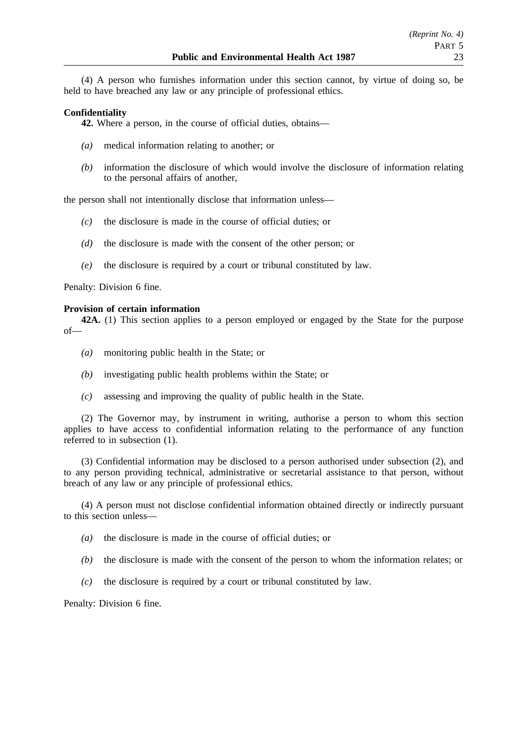(4) A person who furnishes information under this section cannot, by virtue of doing so, be held to have breached any law or any principle of professional ethics.

## **Confidentiality**

**42.** Where a person, in the course of official duties, obtains—

- *(a)* medical information relating to another; or
- *(b)* information the disclosure of which would involve the disclosure of information relating to the personal affairs of another,

the person shall not intentionally disclose that information unless—

- *(c)* the disclosure is made in the course of official duties; or
- *(d)* the disclosure is made with the consent of the other person; or
- *(e)* the disclosure is required by a court or tribunal constituted by law.

Penalty: Division 6 fine.

### **Provision of certain information**

**42A.** (1) This section applies to a person employed or engaged by the State for the purpose of—

- *(a)* monitoring public health in the State; or
- *(b)* investigating public health problems within the State; or
- *(c)* assessing and improving the quality of public health in the State.

(2) The Governor may, by instrument in writing, authorise a person to whom this section applies to have access to confidential information relating to the performance of any function referred to in subsection (1).

(3) Confidential information may be disclosed to a person authorised under subsection (2), and to any person providing technical, administrative or secretarial assistance to that person, without breach of any law or any principle of professional ethics.

(4) A person must not disclose confidential information obtained directly or indirectly pursuant to this section unless—

- *(a)* the disclosure is made in the course of official duties; or
- *(b)* the disclosure is made with the consent of the person to whom the information relates; or
- *(c)* the disclosure is required by a court or tribunal constituted by law.

Penalty: Division 6 fine.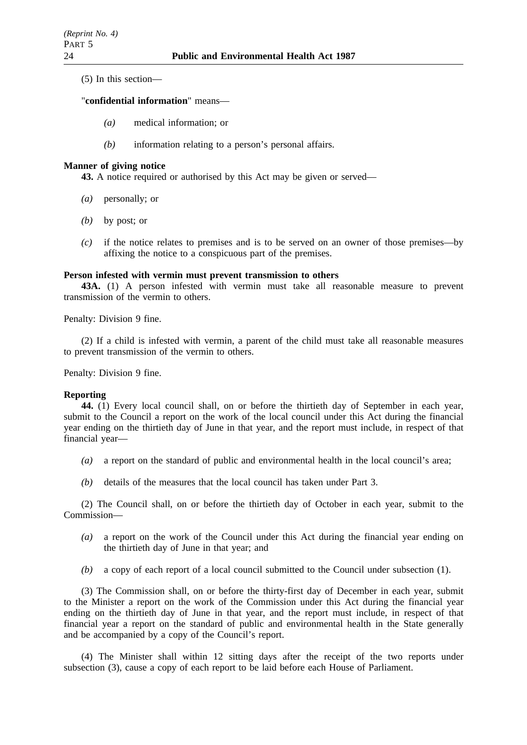(5) In this section—

#### "**confidential information**" means—

- *(a)* medical information; or
- *(b)* information relating to a person's personal affairs.

#### **Manner of giving notice**

**43.** A notice required or authorised by this Act may be given or served—

- *(a)* personally; or
- *(b)* by post; or
- *(c)* if the notice relates to premises and is to be served on an owner of those premises—by affixing the notice to a conspicuous part of the premises.

## **Person infested with vermin must prevent transmission to others**

**43A.** (1) A person infested with vermin must take all reasonable measure to prevent transmission of the vermin to others.

Penalty: Division 9 fine.

(2) If a child is infested with vermin, a parent of the child must take all reasonable measures to prevent transmission of the vermin to others.

Penalty: Division 9 fine.

#### **Reporting**

**44.** (1) Every local council shall, on or before the thirtieth day of September in each year, submit to the Council a report on the work of the local council under this Act during the financial year ending on the thirtieth day of June in that year, and the report must include, in respect of that financial year—

- *(a)* a report on the standard of public and environmental health in the local council's area;
- *(b)* details of the measures that the local council has taken under Part 3.

(2) The Council shall, on or before the thirtieth day of October in each year, submit to the Commission—

- *(a)* a report on the work of the Council under this Act during the financial year ending on the thirtieth day of June in that year; and
- *(b)* a copy of each report of a local council submitted to the Council under subsection (1).

(3) The Commission shall, on or before the thirty-first day of December in each year, submit to the Minister a report on the work of the Commission under this Act during the financial year ending on the thirtieth day of June in that year, and the report must include, in respect of that financial year a report on the standard of public and environmental health in the State generally and be accompanied by a copy of the Council's report.

(4) The Minister shall within 12 sitting days after the receipt of the two reports under subsection (3), cause a copy of each report to be laid before each House of Parliament.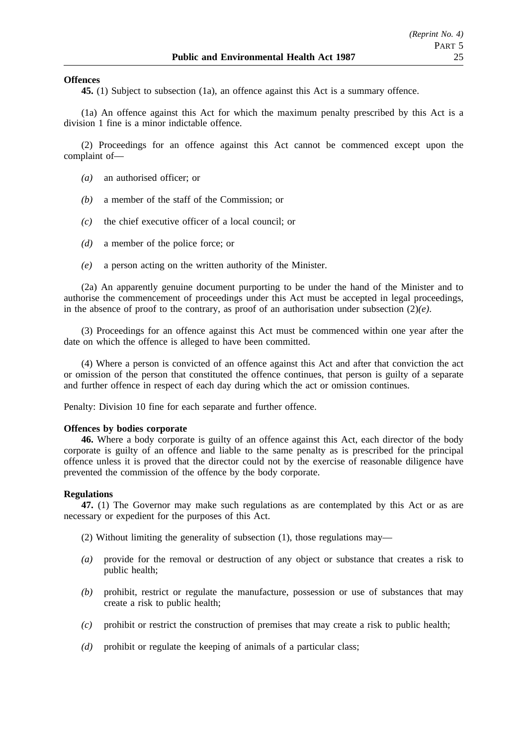### **Offences**

**45.** (1) Subject to subsection (1a), an offence against this Act is a summary offence.

(1a) An offence against this Act for which the maximum penalty prescribed by this Act is a division 1 fine is a minor indictable offence.

(2) Proceedings for an offence against this Act cannot be commenced except upon the complaint of—

- *(a)* an authorised officer; or
- *(b)* a member of the staff of the Commission; or
- *(c)* the chief executive officer of a local council; or
- *(d)* a member of the police force; or
- *(e)* a person acting on the written authority of the Minister.

(2a) An apparently genuine document purporting to be under the hand of the Minister and to authorise the commencement of proceedings under this Act must be accepted in legal proceedings, in the absence of proof to the contrary, as proof of an authorisation under subsection  $(2)(e)$ .

(3) Proceedings for an offence against this Act must be commenced within one year after the date on which the offence is alleged to have been committed.

(4) Where a person is convicted of an offence against this Act and after that conviction the act or omission of the person that constituted the offence continues, that person is guilty of a separate and further offence in respect of each day during which the act or omission continues.

Penalty: Division 10 fine for each separate and further offence.

#### **Offences by bodies corporate**

**46.** Where a body corporate is guilty of an offence against this Act, each director of the body corporate is guilty of an offence and liable to the same penalty as is prescribed for the principal offence unless it is proved that the director could not by the exercise of reasonable diligence have prevented the commission of the offence by the body corporate.

#### **Regulations**

**47.** (1) The Governor may make such regulations as are contemplated by this Act or as are necessary or expedient for the purposes of this Act.

- (2) Without limiting the generality of subsection (1), those regulations may—
- *(a)* provide for the removal or destruction of any object or substance that creates a risk to public health;
- *(b)* prohibit, restrict or regulate the manufacture, possession or use of substances that may create a risk to public health;
- *(c)* prohibit or restrict the construction of premises that may create a risk to public health;
- *(d)* prohibit or regulate the keeping of animals of a particular class;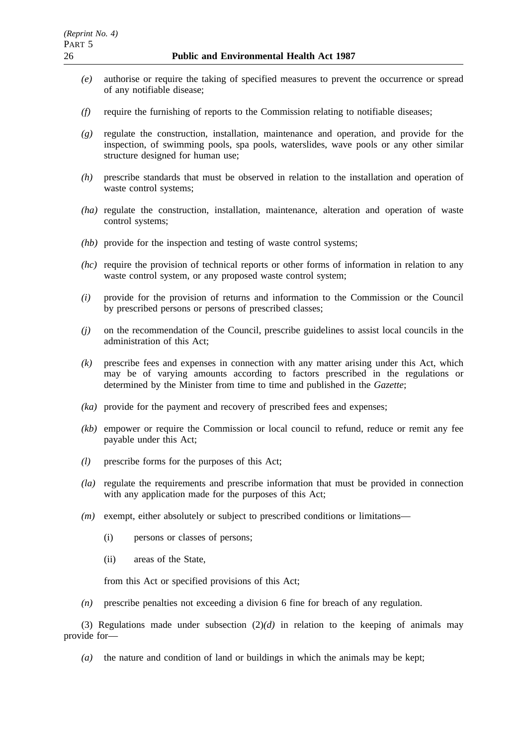- *(e)* authorise or require the taking of specified measures to prevent the occurrence or spread of any notifiable disease;
- *(f)* require the furnishing of reports to the Commission relating to notifiable diseases;
- *(g)* regulate the construction, installation, maintenance and operation, and provide for the inspection, of swimming pools, spa pools, waterslides, wave pools or any other similar structure designed for human use;
- *(h)* prescribe standards that must be observed in relation to the installation and operation of waste control systems;
- *(ha)* regulate the construction, installation, maintenance, alteration and operation of waste control systems;
- *(hb)* provide for the inspection and testing of waste control systems;
- *(hc)* require the provision of technical reports or other forms of information in relation to any waste control system, or any proposed waste control system;
- *(i)* provide for the provision of returns and information to the Commission or the Council by prescribed persons or persons of prescribed classes;
- *(j)* on the recommendation of the Council, prescribe guidelines to assist local councils in the administration of this Act;
- *(k)* prescribe fees and expenses in connection with any matter arising under this Act, which may be of varying amounts according to factors prescribed in the regulations or determined by the Minister from time to time and published in the *Gazette*;
- *(ka)* provide for the payment and recovery of prescribed fees and expenses;
- *(kb)* empower or require the Commission or local council to refund, reduce or remit any fee payable under this Act;
- *(l)* prescribe forms for the purposes of this Act;
- *(la)* regulate the requirements and prescribe information that must be provided in connection with any application made for the purposes of this Act;
- *(m)* exempt, either absolutely or subject to prescribed conditions or limitations—
	- (i) persons or classes of persons;
	- (ii) areas of the State,

from this Act or specified provisions of this Act;

*(n)* prescribe penalties not exceeding a division 6 fine for breach of any regulation.

(3) Regulations made under subsection  $(2)(d)$  in relation to the keeping of animals may provide for—

*(a)* the nature and condition of land or buildings in which the animals may be kept;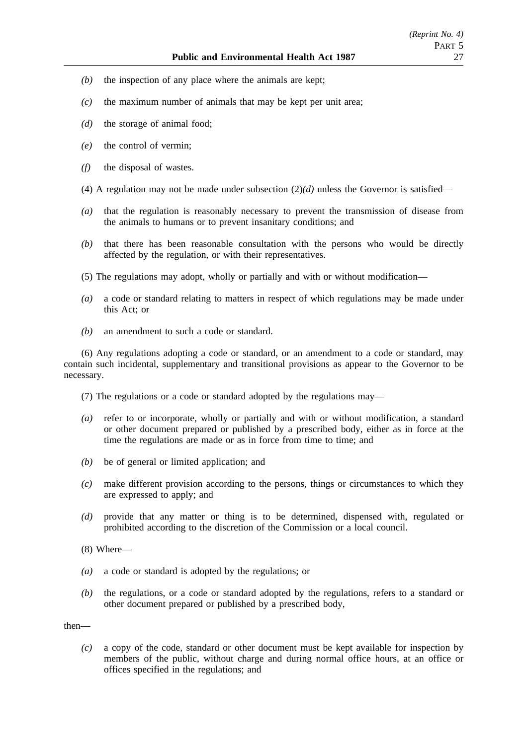- *(b)* the inspection of any place where the animals are kept;
- *(c)* the maximum number of animals that may be kept per unit area;
- *(d)* the storage of animal food;
- *(e)* the control of vermin;
- *(f)* the disposal of wastes.
- (4) A regulation may not be made under subsection  $(2)(d)$  unless the Governor is satisfied—
- *(a)* that the regulation is reasonably necessary to prevent the transmission of disease from the animals to humans or to prevent insanitary conditions; and
- *(b)* that there has been reasonable consultation with the persons who would be directly affected by the regulation, or with their representatives.
- (5) The regulations may adopt, wholly or partially and with or without modification—
- *(a)* a code or standard relating to matters in respect of which regulations may be made under this Act; or
- *(b)* an amendment to such a code or standard.

(6) Any regulations adopting a code or standard, or an amendment to a code or standard, may contain such incidental, supplementary and transitional provisions as appear to the Governor to be necessary.

- (7) The regulations or a code or standard adopted by the regulations may—
- *(a)* refer to or incorporate, wholly or partially and with or without modification, a standard or other document prepared or published by a prescribed body, either as in force at the time the regulations are made or as in force from time to time; and
- *(b)* be of general or limited application; and
- *(c)* make different provision according to the persons, things or circumstances to which they are expressed to apply; and
- *(d)* provide that any matter or thing is to be determined, dispensed with, regulated or prohibited according to the discretion of the Commission or a local council.
- (8) Where—
- *(a)* a code or standard is adopted by the regulations; or
- *(b)* the regulations, or a code or standard adopted by the regulations, refers to a standard or other document prepared or published by a prescribed body,

then—

*(c)* a copy of the code, standard or other document must be kept available for inspection by members of the public, without charge and during normal office hours, at an office or offices specified in the regulations; and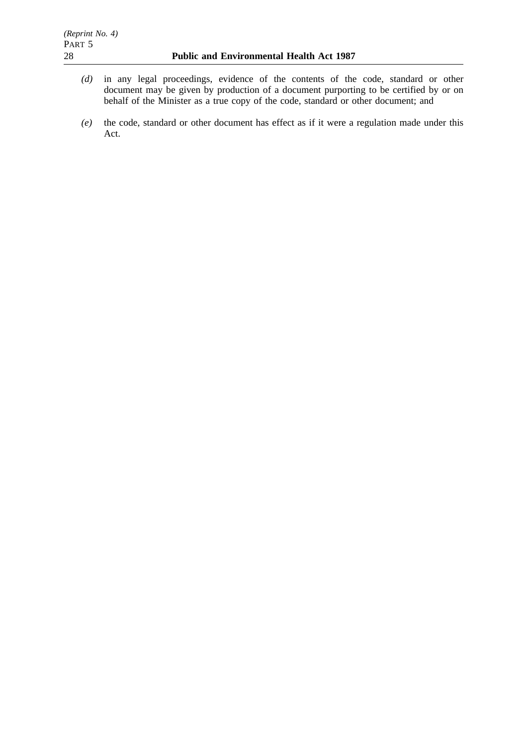- *(d)* in any legal proceedings, evidence of the contents of the code, standard or other document may be given by production of a document purporting to be certified by or on behalf of the Minister as a true copy of the code, standard or other document; and
- *(e)* the code, standard or other document has effect as if it were a regulation made under this Act.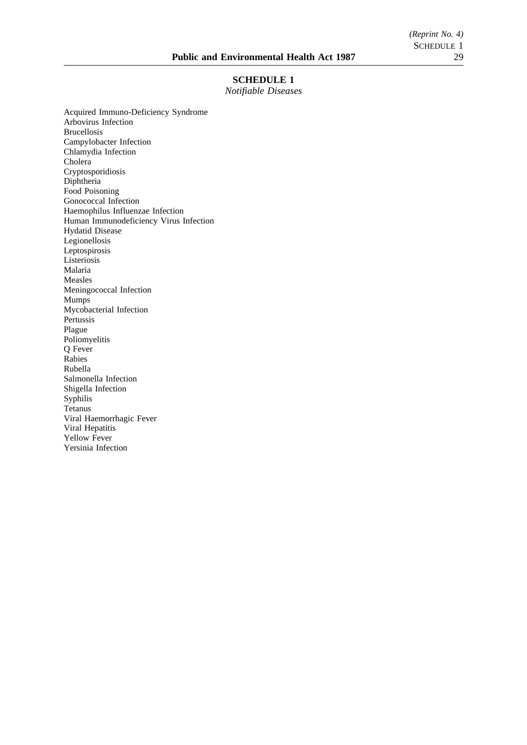## **SCHEDULE 1**

*Notifiable Diseases*

Acquired Immuno-Deficiency Syndrome Arbovirus Infection Brucellosis Campylobacter Infection Chlamydia Infection Cholera Cryptosporidiosis Diphtheria Food Poisoning Gonococcal Infection Haemophilus Influenzae Infection Human Immunodeficiency Virus Infection Hydatid Disease Legionellosis Leptospirosis Listeriosis Malaria Measles Meningococcal Infection Mumps Mycobacterial Infection Pertussis Plague Poliomyelitis Q Fever Rabies Rubella Salmonella Infection Shigella Infection Syphilis Tetanus Viral Haemorrhagic Fever Viral Hepatitis Yellow Fever Yersinia Infection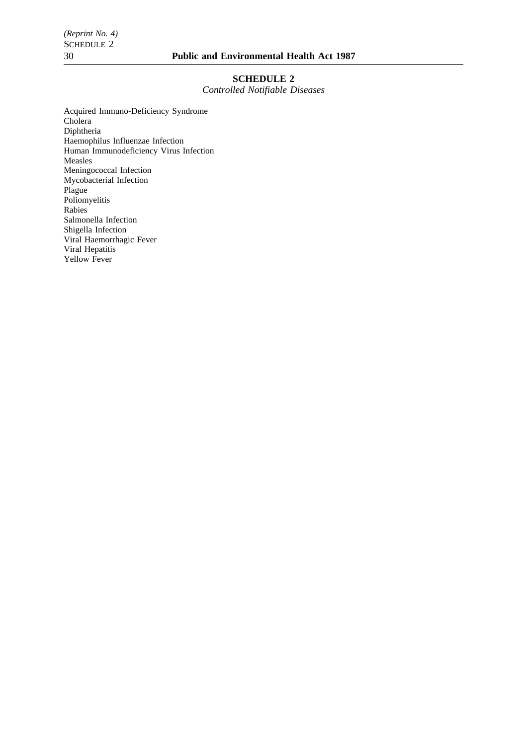## **SCHEDULE 2**

*Controlled Notifiable Diseases*

Acquired Immuno-Deficiency Syndrome Cholera Diphtheria Haemophilus Influenzae Infection Human Immunodeficiency Virus Infection Measles Meningococcal Infection Mycobacterial Infection Plague Poliomyelitis Rabies Salmonella Infection Shigella Infection Viral Haemorrhagic Fever Viral Hepatitis Yellow Fever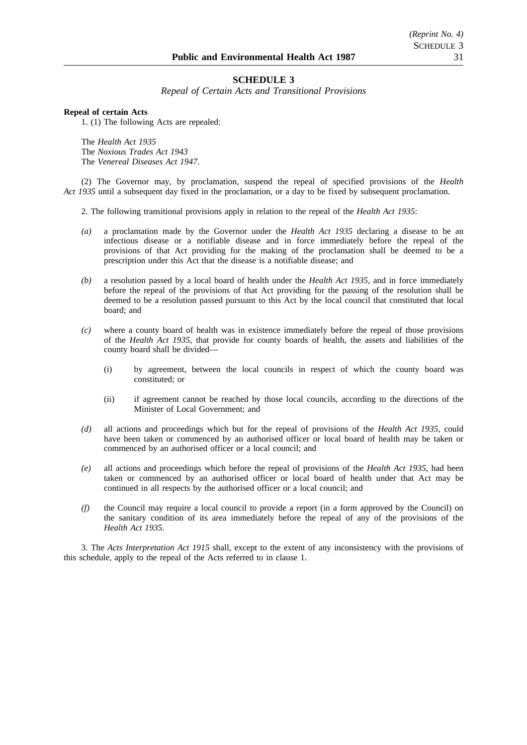## **SCHEDULE 3**

*Repeal of Certain Acts and Transitional Provisions*

#### **Repeal of certain Acts**

1. (1) The following Acts are repealed:

The *Health Act 1935* The *Noxious Trades Act 1943* The *Venereal Diseases Act 1947*.

(2) The Governor may, by proclamation, suspend the repeal of specified provisions of the *Health Act 1935* until a subsequent day fixed in the proclamation, or a day to be fixed by subsequent proclamation.

2. The following transitional provisions apply in relation to the repeal of the *Health Act 1935*:

- *(a)* a proclamation made by the Governor under the *Health Act 1935* declaring a disease to be an infectious disease or a notifiable disease and in force immediately before the repeal of the provisions of that Act providing for the making of the proclamation shall be deemed to be a prescription under this Act that the disease is a notifiable disease; and
- *(b)* a resolution passed by a local board of health under the *Health Act 1935*, and in force immediately before the repeal of the provisions of that Act providing for the passing of the resolution shall be deemed to be a resolution passed pursuant to this Act by the local council that constituted that local board; and
- *(c)* where a county board of health was in existence immediately before the repeal of those provisions of the *Health Act 1935*, that provide for county boards of health, the assets and liabilities of the county board shall be divided—
	- (i) by agreement, between the local councils in respect of which the county board was constituted; or
	- (ii) if agreement cannot be reached by those local councils, according to the directions of the Minister of Local Government; and
- *(d)* all actions and proceedings which but for the repeal of provisions of the *Health Act 1935*, could have been taken or commenced by an authorised officer or local board of health may be taken or commenced by an authorised officer or a local council; and
- *(e)* all actions and proceedings which before the repeal of provisions of the *Health Act 1935*, had been taken or commenced by an authorised officer or local board of health under that Act may be continued in all respects by the authorised officer or a local council; and
- *(f)* the Council may require a local council to provide a report (in a form approved by the Council) on the sanitary condition of its area immediately before the repeal of any of the provisions of the *Health Act 1935*.

3. The *Acts Interpretation Act 1915* shall, except to the extent of any inconsistency with the provisions of this schedule, apply to the repeal of the Acts referred to in clause 1.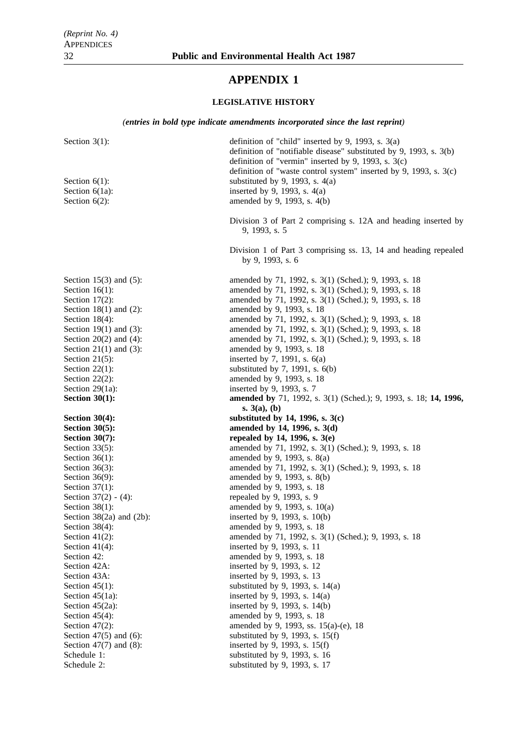# **APPENDIX 1**

## **LEGISLATIVE HISTORY**

*(entries in bold type indicate amendments incorporated since the last reprint)*

| Section $3(1)$ :<br>Section $6(1)$ :<br>Section $6(1a)$ :<br>Section $6(2)$ :  | definition of "child" inserted by 9, 1993, s. $3(a)$<br>definition of "notifiable disease" substituted by 9, 1993, s. 3(b)<br>definition of "vermin" inserted by 9, 1993, s. $3(c)$<br>definition of "waste control system" inserted by 9, 1993, s. 3(c)<br>substituted by 9, 1993, s. $4(a)$<br>inserted by 9, 1993, s. $4(a)$<br>amended by 9, 1993, s. 4(b) |  |  |
|--------------------------------------------------------------------------------|----------------------------------------------------------------------------------------------------------------------------------------------------------------------------------------------------------------------------------------------------------------------------------------------------------------------------------------------------------------|--|--|
|                                                                                | Division 3 of Part 2 comprising s. 12A and heading inserted by<br>9, 1993, s. 5                                                                                                                                                                                                                                                                                |  |  |
|                                                                                | Division 1 of Part 3 comprising ss. 13, 14 and heading repealed<br>by 9, 1993, s. 6                                                                                                                                                                                                                                                                            |  |  |
| Section $15(3)$ and $(5)$ :                                                    | amended by 71, 1992, s. 3(1) (Sched.); 9, 1993, s. 18                                                                                                                                                                                                                                                                                                          |  |  |
| Section $16(1)$ :                                                              | amended by 71, 1992, s. 3(1) (Sched.); 9, 1993, s. 18                                                                                                                                                                                                                                                                                                          |  |  |
| Section $17(2)$ :                                                              | amended by 71, 1992, s. 3(1) (Sched.); 9, 1993, s. 18                                                                                                                                                                                                                                                                                                          |  |  |
| Section $18(1)$ and $(2)$ :                                                    | amended by 9, 1993, s. 18                                                                                                                                                                                                                                                                                                                                      |  |  |
| Section $18(4)$ :                                                              | amended by 71, 1992, s. 3(1) (Sched.); 9, 1993, s. 18                                                                                                                                                                                                                                                                                                          |  |  |
| Section 19 $(1)$ and $(3)$ :                                                   | amended by 71, 1992, s. 3(1) (Sched.); 9, 1993, s. 18                                                                                                                                                                                                                                                                                                          |  |  |
| Section $20(2)$ and $(4)$ :                                                    | amended by 71, 1992, s. 3(1) (Sched.); 9, 1993, s. 18                                                                                                                                                                                                                                                                                                          |  |  |
| Section $21(1)$ and $(3)$ :                                                    | amended by 9, 1993, s. 18                                                                                                                                                                                                                                                                                                                                      |  |  |
| Section $21(5)$ :                                                              | inserted by 7, 1991, s. $6(a)$                                                                                                                                                                                                                                                                                                                                 |  |  |
| Section $22(1)$ :                                                              | substituted by $7$ , 1991, s. $6(b)$                                                                                                                                                                                                                                                                                                                           |  |  |
| Section $22(2)$ :                                                              | amended by 9, 1993, s. 18                                                                                                                                                                                                                                                                                                                                      |  |  |
| Section 29(1a):                                                                | inserted by 9, 1993, s. 7                                                                                                                                                                                                                                                                                                                                      |  |  |
| Section $30(1)$ :                                                              | amended by 71, 1992, s. 3(1) (Sched.); 9, 1993, s. 18; 14, 1996,                                                                                                                                                                                                                                                                                               |  |  |
| s. $3(a)$ , (b)<br>substituted by 14, 1996, s. $3(c)$<br><b>Section 30(4):</b> |                                                                                                                                                                                                                                                                                                                                                                |  |  |
| <b>Section 30(5):</b>                                                          | amended by 14, 1996, s. 3(d)                                                                                                                                                                                                                                                                                                                                   |  |  |
| <b>Section 30(7):</b>                                                          | repealed by 14, 1996, s. $3(e)$                                                                                                                                                                                                                                                                                                                                |  |  |
| Section $33(5)$ :                                                              | amended by 71, 1992, s. 3(1) (Sched.); 9, 1993, s. 18                                                                                                                                                                                                                                                                                                          |  |  |
| Section $36(1)$ :                                                              | amended by 9, 1993, s. 8(a)                                                                                                                                                                                                                                                                                                                                    |  |  |
| Section $36(3)$ :                                                              | amended by 71, 1992, s. 3(1) (Sched.); 9, 1993, s. 18                                                                                                                                                                                                                                                                                                          |  |  |
| Section $36(9)$ :                                                              | amended by 9, 1993, s. 8(b)                                                                                                                                                                                                                                                                                                                                    |  |  |
| Section $37(1)$ :                                                              | amended by 9, 1993, s. 18                                                                                                                                                                                                                                                                                                                                      |  |  |
| Section $37(2) - (4)$ :                                                        | repealed by 9, 1993, s. 9                                                                                                                                                                                                                                                                                                                                      |  |  |
| Section $38(1)$ :                                                              | amended by 9, 1993, s. 10(a)                                                                                                                                                                                                                                                                                                                                   |  |  |
| Section $38(2a)$ and $(2b)$ :                                                  | inserted by 9, 1993, s. 10(b)                                                                                                                                                                                                                                                                                                                                  |  |  |
| Section $38(4)$ :                                                              | amended by 9, 1993, s. 18                                                                                                                                                                                                                                                                                                                                      |  |  |
| Section $41(2)$ :                                                              | amended by 71, 1992, s. 3(1) (Sched.); 9, 1993, s. 18                                                                                                                                                                                                                                                                                                          |  |  |
| Section $41(4)$ :                                                              | inserted by 9, 1993, s. 11                                                                                                                                                                                                                                                                                                                                     |  |  |
| Section 42:                                                                    | amended by 9, 1993, s. 18                                                                                                                                                                                                                                                                                                                                      |  |  |
| Section 42A:                                                                   | inserted by 9, 1993, s. 12                                                                                                                                                                                                                                                                                                                                     |  |  |
| Section 43A:                                                                   | inserted by 9, 1993, s. 13                                                                                                                                                                                                                                                                                                                                     |  |  |
| Section $45(1)$ :                                                              | substituted by 9, 1993, s. $14(a)$                                                                                                                                                                                                                                                                                                                             |  |  |
| Section $45(1a)$ :                                                             | inserted by 9, 1993, s. 14(a)                                                                                                                                                                                                                                                                                                                                  |  |  |
| Section 45(2a):                                                                | inserted by 9, 1993, s. 14(b)                                                                                                                                                                                                                                                                                                                                  |  |  |
| Section $45(4)$ :                                                              | amended by 9, 1993, s. 18                                                                                                                                                                                                                                                                                                                                      |  |  |
| Section $47(2)$ :                                                              | amended by 9, 1993, ss. 15(a)-(e), 18                                                                                                                                                                                                                                                                                                                          |  |  |
| Section $47(5)$ and $(6)$ :                                                    | substituted by 9, 1993, s. $15(f)$                                                                                                                                                                                                                                                                                                                             |  |  |
| Section $47(7)$ and $(8)$ :                                                    | inserted by 9, 1993, s. 15(f)<br>substituted by 9, 1993, s. 16                                                                                                                                                                                                                                                                                                 |  |  |
| Schedule 1:<br>Schedule 2:                                                     | substituted by 9, 1993, s. 17                                                                                                                                                                                                                                                                                                                                  |  |  |
|                                                                                |                                                                                                                                                                                                                                                                                                                                                                |  |  |